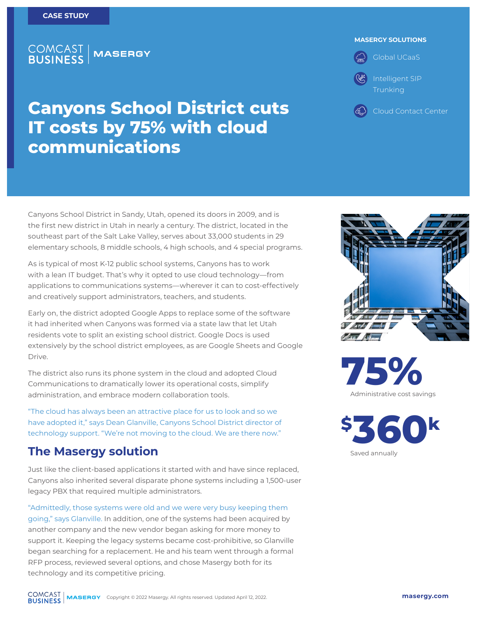### **COMCAST<br>BUSINESS MASERGY**

#### **MASERGY SOLUTIONS**

Global UCaaS Intelligent SIP Trunking

Cloud Contact Center

**Canyons School District cuts IT costs by 75% with cloud communications**

Canyons School District in Sandy, Utah, opened its doors in 2009, and is the first new district in Utah in nearly a century. The district, located in the southeast part of the Salt Lake Valley, serves about 33,000 students in 29 elementary schools, 8 middle schools, 4 high schools, and 4 special programs.

As is typical of most K-12 public school systems, Canyons has to work with a lean IT budget. That's why it opted to use cloud technology—from applications to communications systems—wherever it can to cost-effectively and creatively support administrators, teachers, and students.

Early on, the district adopted Google Apps to replace some of the software it had inherited when Canyons was formed via a state law that let Utah residents vote to split an existing school district. Google Docs is used extensively by the school district employees, as are Google Sheets and Google Drive.

The district also runs its phone system in the cloud and adopted Cloud Communications to dramatically lower its operational costs, simplify administration, and embrace modern collaboration tools.

"The cloud has always been an attractive place for us to look and so we have adopted it," says Dean Glanville, Canyons School District director of technology support. "We're not moving to the cloud. We are there now."

## **The Masergy solution**

Just like the client-based applications it started with and have since replaced, Canyons also inherited several disparate phone systems including a 1,500-user legacy PBX that required multiple administrators.

"Admittedly, those systems were old and we were very busy keeping them going," says Glanville. In addition, one of the systems had been acquired by another company and the new vendor began asking for more money to support it. Keeping the legacy systems became cost-prohibitive, so Glanville began searching for a replacement. He and his team went through a formal RFP process, reviewed several options, and chose Masergy both for its technology and its competitive pricing.